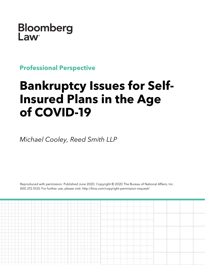Bloomberg **Law** 

**Professional Perspective**

## **Bankruptcy Issues for Self-Insured Plans in the Age of COVID-19**

*Michael Cooley, Reed Smith LLP*

Reproduced with permission. Published June 2020. Copyright © 2020 The Bureau of National Affairs, Inc. 800.372.1033. For further use, please visit: http://bna.com/copyright-permission-request/

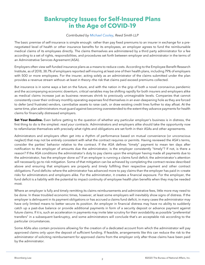## **Bankruptcy Issues for Self-Insured Plans in the Age of COVID-19**

## *Contributed by [Michael Cooley,](https://www.reedsmith.com/en/professionals/c/cooley-michael) Reed Smith LLP*

The basic premise of self-insurance is simple enough: rather than pay fixed premiums to an insurer in exchange for a prenegotiated level of health or other insurance benefits for its employees, an employer agrees to fund the reimbursable medical claims of its employees directly. The claims themselves are administered by a third party administrator for a fee according to a set of rights, responsibilities, and procedures set forth between employer and administrator in the terms of an Administrative Services Agreement (ASA).

Employers often view self-funded insurance plans as a means to reduce costs. According to the Employee Benefit Research Institute, as of 2018, 38.7% of employers reported self-insuring at least one of their health plans, including 79% of employers with 500 or more employees. For the insurer, acting solely as an administrator of the claims submitted under the plan provides a revenue stream without—at least in theory—the risk that claims paid exceed premiums collected.

But insurance is in some ways a bet on the future, and with the nation in the grip of both a novel coronavirus pandemic and the accompanying economic downturn, critical variables may be shifting rapidly for both insurers and employers alike as medical claims increase just as business revenues shrink to previously unimaginable levels. Companies that cannot consistently cover their ordinary monthly operating expenses find themselves in an ever-deepening hole as they are forced to defer (and frustrate) vendors, cannibalize assets to raise cash, or draw existing credit lines further to stay afloat. At the same time, plan administrators must guard against becoming overextended to the extent they advance payments for health claims for financially distressed employers.

**Set Your Baseline.** Even before getting to the question of whether any particular employer's business is in distress, the first thing to do is the simplest: *read your contracts*. Administrators and employers alike should take the opportunity now to refamiliarize themselves with precisely what rights and obligations are set forth in their ASAs and other agreements.

Administrators and employers often get into a rhythm of performance based on mutual convenience (or unconscious neglect) that may not be entirely consistent with what the contract requires or permits. Having reviewed the ASA's terms, consider the parties' behavior relative to the contract. If the ASA defines "timely" payment to mean ten days after notification to the employer of amounts due the administrator, is the employer consistently "timely"? If not, is there a reason? If the ASA conditions the administrator's duty to pay claims upon the employer having made all payments due to the administrator, has the employer done so? If an employer is running a claims fund deficit, the administrator's attention will necessarily go to risk mitigation. Some of that mitigation can be achieved by completing the contract review described above and ensuring that employers are properly and *timely* fulfilling their respective payment and other contract obligations. Fund deficits—where the administrator has advanced more to pay claims than the employer has paid in—create risks for administrators and employers alike. For the administrator, it creates a financial exposure. For the employer, the fund deficit is a liability with the potential to impact continuity of employee health plan benefits when they may be needed most.

Where an employer is fully and timely remitting its claims reimbursements and administrative fees, little more may need to be done. In these troubled economic times, however, at least some employers will inevitably show signs of distress. If the employer is delinquent in its payment obligations or has accrued a claims fund deficit, in many cases the administrator may have only limited means to better secure its position. An employer in financial distress may have no ability to suddenly catch up a past-due balance or provide additional payments in form of a security deposit or advance payment against future claims. If it is, such an acceleration in payments may invite later scrutiny for their avoidability as possible "preferential transfers" in a subsequent bankruptcy, and some administrators will conclude that's an acceptable risk according to the particular circumstances.

Some ASAs also contain provisions allowing for the creation of a dedicated account from which the administrator will pay approved claims only upon the deposit of sufficient funding. If feasible, arrangements like this can reduce the risk to the administrator of soliciting reimbursement for approved claims from the employer only after those claims have been paid by the administrator.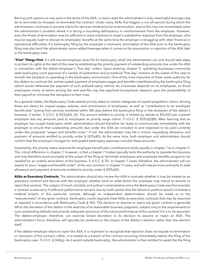Barring such options as may exist in the terms of the ASA, in many cases the administrator's only meaningful leverage may be to terminate (or threaten to terminate) the contract. Under many ASAs this triggers a run-off period during which the administrator continues to process claims for services rendered prior to termination, and so this may not immediately solve the administrator's problem where it is facing a mounting delinquency in reimbursement from the employer. However, even the threat of termination may be sufficient in many instances to impel a substantive response from the employer, who may be equally loath to disrupt its employees' benefits at the same time the employer is struggling with other financial or operational difficulties. If a bankruptcy filing by the employer is imminent, termination of the ASA *prior* to the bankruptcy filing may also lend the administrator some added leverage when it comes to the assumption or rejection of the ASA later in the bankruptcy case.

**"First" Things First**. If a self-insured employer does file for bankruptcy relief, the administrator can and should take steps to protect its rights at the start of the case by establishing the priority payment of outstanding amounts due under the ASA in connection with the debtor-employer's "first day" orders. Upon entering chapter 11, operating businesses commonly seek bankruptcy court approval of a variety of substantive and procedural "first day" motions at the outset of the case to smooth the transition to operating in the bankruptcy environment. One of the most important of these seeks authority for the debtor to continue the uninterrupted payment of employee wages and benefits notwithstanding the bankruptcy filing (which would otherwise bar payment of such prebankruptcy claims). As a business depends on its employees, so those employees—many of whom among the rank-and-file may live paycheck-to-paycheck—depend upon the predictability of their payroll to minimize the disruption to their lives.

As a general matter, the Bankruptcy Code awards priority status to certain categories of unpaid prepetition claims. Among these are claims for unpaid wages, salaries, and commissions of employees, as well as "contributions to an employee benefit plan" arising from services rendered within 180 days before the bankruptcy filing or the shutdown of the debtor's business, if earlier. [11 U.S.C. §](https://www.bloomberglaw.com/product/blaw/citation/11%20usc%20507) 507(a)(4), (5). The amount entitled to priority is limited by statute to \$13,650 per covered employee less any amounts paid to employees as priority wage claims. 11 U.S.C. § [507\(a\)\(5\)\(B\).](https://www.bloomberglaw.com/product/blaw/citation/11%20usc%20507) After learning that an employer has sought bankruptcy relief, administrators should therefore be ready to communicate immediately with the employer to ensure that outstanding amounts due under the ASA are included in—and expected to be paid currently under—the proposed "wages and benefits order." If not, the administrator may file a motion requesting allowance and payment of amounts entitled to priority under § 507(a)(5). At the same time, both employer and administrator should confirm that the employer's budget for anticipated bankruptcy expenses includes these amounts.

Importantly, the priority status reserved for employee benefit plan contributions holds equally in chapter 7 as in chapter 11. The critical difference in chapter 7, however, is that a chapter 7 trustee typically lacks the authority to operate the business and may therefore move promptly at the outset of the filing to terminate employees and employee benefits programs not needed for an orderly wind-down of the business. [11 U.S.C. §](https://www.bloomberglaw.com/product/blaw/citation/11%20usc%20721) 721. In chapter 7 cases, therefore, the administrator will not expect to see a "wages and benefits order" of the sort common in chapter 11 cases, and will instead move promptly to seek allowance and payment of amounts entitled to priority under § 507(a)(5).

**ASAs as Executory Contracts.** The administrator should also review the ASA to evaluate whether it may be treated as an executory contract and discuss with the employer whether (and on what terms) the employer may intend to assume or reject that contract. The subject of much scholarly and judicial contemplation since the Bankruptcy Code was first enacted, a contract is executory if sufficient performance remains due by both parties that the failure to perform would constitute a material breach. In this particular context, although an independent determination should be made as to the "executoriness" of any given contract, bankruptcy courts regularly treat ASAs as executory contracts that may be assumed or rejected in accordance with Bankruptcy Code § 365. The decision to assume or reject any given contract is generally left to the discretion of the debtor in the exercise of its reasonable business judgment, subject only to the requirements to cure outstanding defaults and provide adequate assurance of the future performance of the contract if it is to be assumed. The debtor-employer, therefore, can exercise broad discretion in its decision to assume or reject an ASA. The administrator's focus, therefore, will typically be centered on the impact of the debtor's election rather than the election itself.

If the debtor-employer elects to *reject* the ASA, it is important to recognize that rejection does not equate to termination or rescission of the contract; rather, it is treated as a *breach* of the contract occurring immediately before the filing of the bankruptcy case. [11 U.S.C. §](https://www.bloomberglaw.com/product/blaw/citation/11%20usc%20365) 365(g). As it would outside bankruptcy, the administrator is then entitled to assert (by the filing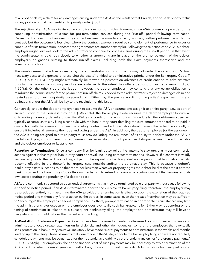of a proof of claim) a claim for any damages arising under the ASA as the result of that breach, and to seek priority status for any portion of that claim entitled to priority under § 507.

The rejection of an ASA may invite some complications for both sides, however, since ASAs commonly provide for the continuing administration of claims for pre-termination services during the "run-off" period following termination. Ordinarily, the rejection of an executory contract excuses the non-debtor party from any further performance under the contract, but the outcome is less clear where the contract expressly requires some element of performance to occur or continue after its termination (noncompete agreements are another example). Following the rejection of an ASA, a debtoremployer might very well look to the administrator to continue to process claims during the run-off period. In that event, the administrator should look closely to whether arrangements are in place for the prompt payment of the debtoremployer's obligations relating to those run-off claims, including both the claim payments themselves and the administrator's fees.

The reimbursement of advances made by the administrator for run-off claims may fall under the category of "actual, necessary costs and expenses of preserving the estate" entitled to administrative priority under the Bankruptcy Code. [11](https://www.bloomberglaw.com/product/blaw/citation/11%20usc%20503)  U.S.C. § [503\(b\)\(1\)\(A\).](https://www.bloomberglaw.com/product/blaw/citation/11%20usc%20503) They might alternatively be viewed as postpetition advances of credit entitled to administrative priority in same way that ordinary vendors are protected to the extent they offer a debtor ordinary trade terms. [11 U.S.C.](https://www.bloomberglaw.com/product/blaw/citation/11%20usc%20364)  § [364\(a\).](https://www.bloomberglaw.com/product/blaw/citation/11%20usc%20364) On the other side of the ledger, however, the debtor-employer may contend that any estate obligation to reimburse the administrator for the payment of run-off claims is added to the administrator's rejection damages claim and treated as an ordinary, nonpriority unsecured claim. Either way, the precise wording of the parties' respective rights and obligations under the ASA will be key to the resolution of this issue.

Conversely, should the debtor-employer seek to assume the ASA or assume and assign it to a third party (e.g., as part of an acquisition of the business through a § 363 sale), the Bankruptcy Code requires the debtor-employer to cure all outstanding monetary defaults under the ASA as a condition to assumption. Procedurally, the debtor-employer will typically accomplish this by filing a schedule with the bankruptcy court detailing the cure amount proposed to be paid in connection with the assumption of each executory contract, and administrators should review that schedule carefully to ensure it includes all amounts then due and owing under the ASA. In addition, the debtor-employee (or the assignee, if the ASA is being assigned to a third party) must provide "adequate assurance" of its ability to perform under the ASA in the future. Again, in most cases this requirement can be satisfied through proactive dialogue between the administrator and the debtor-employer or its assignee.

**Resorting to Termination.** Once a company files for bankruptcy relief, the automatic stay prevents most commercial actions against it absent prior bankruptcy court approval, including contract terminations. However, if a contract is validly terminated prior to the bankruptcy filing subject to the expiration of a designated notice period, that termination *can* still become effective in the debtor's bankruptcy case notwithstanding the automatic stay. This is because a debtor's bankruptcy estate succeeds to neither more nor less than whatever property rights the debtor held at the time it entered bankruptcy, and the Bankruptcy Code offers no mechanism to extend or revive an executory contract that terminates of its own accord during the pendency of a debtor's case.

ASAs are commonly structured as open-ended agreements that may be terminated by either party without cause following a specified notice period. If an ASA is terminated prior to the employer's bankruptcy filing, therefore, the employer may be precluded entirely from assuming the ASA provided the termination is effective upon the expiration of the required notice period and without any further action by the parties. In some cases, even the threat of termination may be sufficient to "encourage" the employer's needed compliance; in others, prompt termination in appropriate circumstances may limit the administrator's later exposure if the employer does eventually seek bankruptcy relief. Either way, depending on the timing of termination in relation to a subsequent bankruptcy filing, the employer and administrator may still have to navigate any run-off obligations that persist after the filing.

**A Word About Preference Exposure.** As employers feel pressure to maintain self-insured plans for their employees and administrators focus greater attention on fund deficits and other delinquencies, some of the employers that eventually seek protection in bankruptcy court will inevitably have made "extra" payments to administrators in the weeks and months leading up to the filing. Those payments that were made in the 90 days prior to the bankruptcy filing and were not regularly scheduled payments may be scrutinized for their potential avoidability as preferential transfers, or "preference payments." [11 U.S.C. §](https://www.bloomberglaw.com/product/blaw/citation/11%20usc%20547) 547(b). For employers, the added financial cost of such payments may be necessary to avoid termination of the ASA at a time when its employees can ill-afford any disruption in health benefits. Administrators for their part should